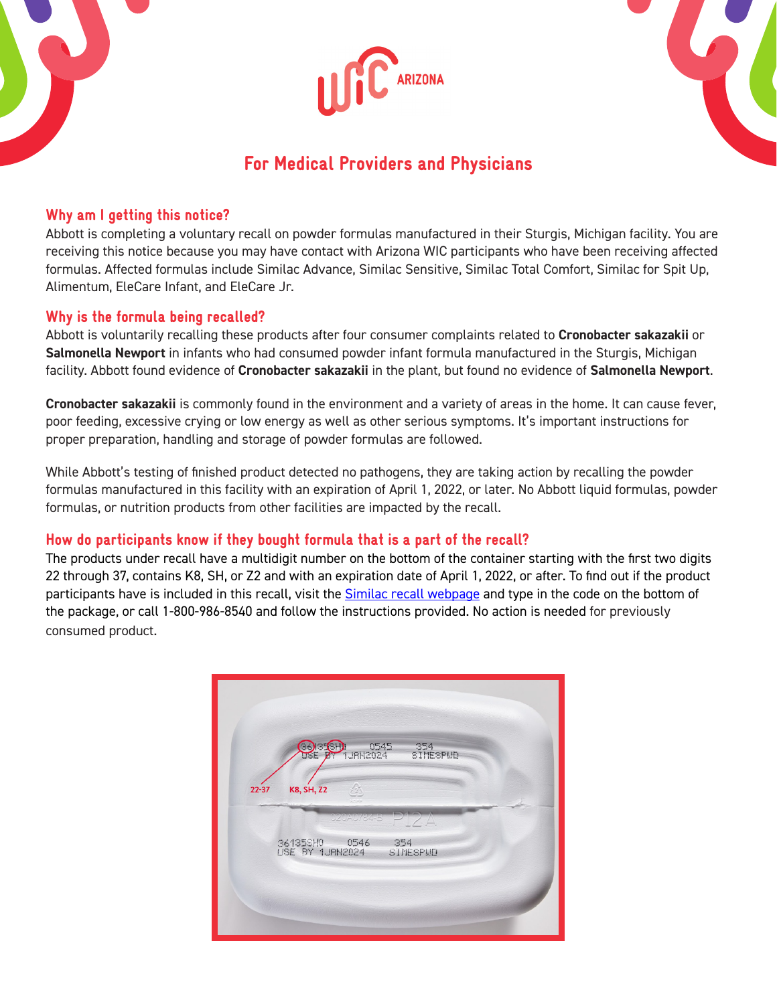





# For Medical Providers and Physicians

## Why am I getting this notice?

Abbott is completing a voluntary recall on powder formulas manufactured in their Sturgis, Michigan facility. You are receiving this notice because you may have contact with Arizona WIC participants who have been receiving affected formulas. Affected formulas include Similac Advance, Similac Sensitive, Similac Total Comfort, Similac for Spit Up, Alimentum, EleCare Infant, and EleCare Jr.

## Why is the formula being recalled?

Abbott is voluntarily recalling these products after four consumer complaints related to **Cronobacter sakazakii** or **Salmonella Newport** in infants who had consumed powder infant formula manufactured in the Sturgis, Michigan facility. Abbott found evidence of **Cronobacter sakazakii** in the plant, but found no evidence of **Salmonella Newport**.

**Cronobacter sakazakii** is commonly found in the environment and a variety of areas in the home. It can cause fever, poor feeding, excessive crying or low energy as well as other serious symptoms. It's important instructions for proper preparation, handling and storage of powder formulas are followed.

While Abbott's testing of finished product detected no pathogens, they are taking action by recalling the powder formulas manufactured in this facility with an expiration of April 1, 2022, or later. No Abbott liquid formulas, powder formulas, or nutrition products from other facilities are impacted by the recall.

## How do participants know if they bought formula that is a part of the recall?

The products under recall have a multidigit number on the bottom of the container starting with the first two digits 22 through 37, contains K8, SH, or Z2 and with an expiration date of April 1, 2022, or after. To find out if the product participants have is included in this recall, visit the [Similac recall webpage](http://similacrecall.com/) and type in the code on the bottom of the package, or call 1-800-986-8540 and follow the instructions provided. No action is needed for previously consumed product.